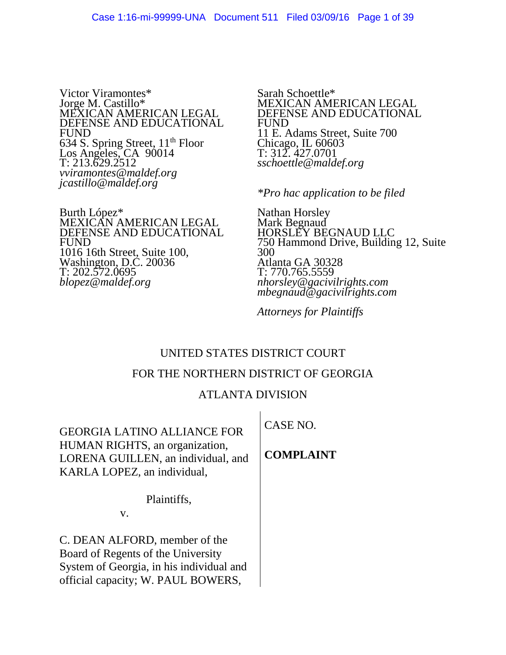Victor Viramontes\* Jorge M. Castillo\* MEXICAN AMERICAN LEGAL DEFENSE AND EDUCATIONAL FUND  $634$  S. Spring Street,  $11<sup>th</sup>$  Floor Los Angeles, CA 90014 T: 213.629.2512 *vviramontes@maldef.org jcastillo@maldef.org*

Burth López\* MEXICAN AMERICAN LEGAL DEFENSE AND EDUCATIONAL FUND 1016 16th Street, Suite 100, Washington, D.C. 20036 T: 202.572.0695 *blopez@maldef.org*

Sarah Schoettle\* MEXICAN AMERICAN LEGAL DEFENSE AND EDUCATIONAL FUND 11 E. Adams Street, Suite 700 Chicago, IL 60603 T: 312. 427.0701 *sschoettle@maldef.org*

*\*Pro hac application to be filed*

Nathan Horsley Mark Begnaud HORSLEY BEGNAUD LLC 750 Hammond Drive, Building 12, Suite 300 Atlanta GA 30328 T: 770.765.5559 *nhorsley@gacivilrights.com mbegnaud@gacivilrights.com*

*Attorneys for Plaintiffs*

# UNITED STATES DISTRICT COURT

#### FOR THE NORTHERN DISTRICT OF GEORGIA

# ATLANTA DIVISION

GEORGIA LATINO ALLIANCE FOR HUMAN RIGHTS, an organization, LORENA GUILLEN, an individual, and KARLA LOPEZ, an individual,

Plaintiffs,

v.

C. DEAN ALFORD, member of the Board of Regents of the University System of Georgia, in his individual and official capacity; W. PAUL BOWERS,

CASE NO.

**COMPLAINT**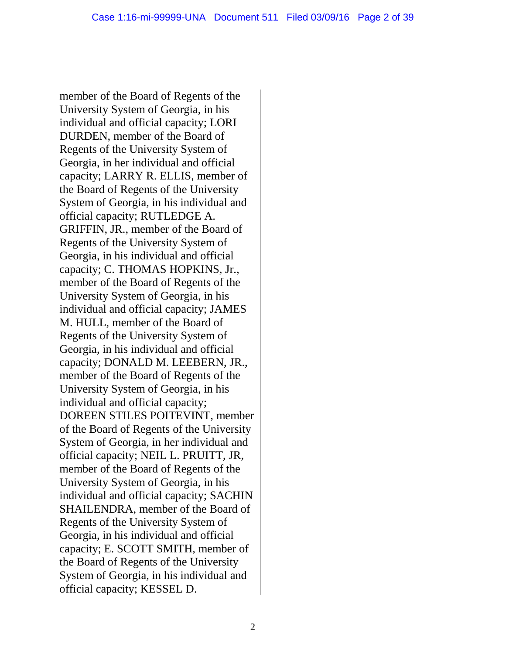member of the Board of Regents of the University System of Georgia, in his individual and official capacity; LORI DURDEN, member of the Board of Regents of the University System of Georgia, in her individual and official capacity; LARRY R. ELLIS, member of the Board of Regents of the University System of Georgia, in his individual and official capacity; RUTLEDGE A. GRIFFIN, JR., member of the Board of Regents of the University System of Georgia, in his individual and official capacity; C. THOMAS HOPKINS, Jr., member of the Board of Regents of the University System of Georgia, in his individual and official capacity; JAMES M. HULL, member of the Board of Regents of the University System of Georgia, in his individual and official capacity; DONALD M. LEEBERN, JR., member of the Board of Regents of the University System of Georgia, in his individual and official capacity; DOREEN STILES POITEVINT, member of the Board of Regents of the University System of Georgia, in her individual and official capacity; NEIL L. PRUITT, JR, member of the Board of Regents of the University System of Georgia, in his individual and official capacity; SACHIN SHAILENDRA, member of the Board of Regents of the University System of Georgia, in his individual and official capacity; E. SCOTT SMITH, member of the Board of Regents of the University System of Georgia, in his individual and official capacity; KESSEL D.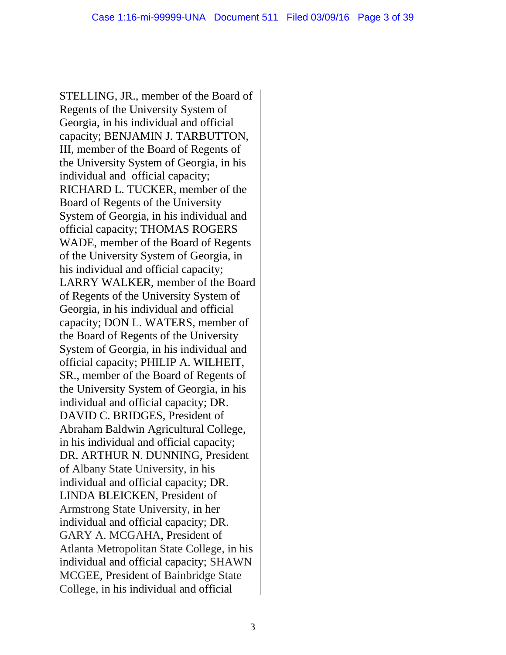STELLING, JR., member of the Board of Regents of the University System of Georgia, in his individual and official capacity; BENJAMIN J. TARBUTTON, III, member of the Board of Regents of the University System of Georgia, in his individual and official capacity; RICHARD L. TUCKER, member of the Board of Regents of the University System of Georgia, in his individual and official capacity; THOMAS ROGERS WADE, member of the Board of Regents of the University System of Georgia, in his individual and official capacity; LARRY WALKER, member of the Board of Regents of the University System of Georgia, in his individual and official capacity; DON L. WATERS, member of the Board of Regents of the University System of Georgia, in his individual and official capacity; PHILIP A. WILHEIT, SR., member of the Board of Regents of the University System of Georgia, in his individual and official capacity; DR. DAVID C. BRIDGES, President of Abraham Baldwin Agricultural College, in his individual and official capacity; DR. ARTHUR N. DUNNING, President of Albany State University, in his individual and official capacity; DR. LINDA BLEICKEN, President of Armstrong State University, in her individual and official capacity; DR. GARY A. MCGAHA, President of Atlanta Metropolitan State College, in his individual and official capacity; SHAWN MCGEE, President of Bainbridge State College, in his individual and official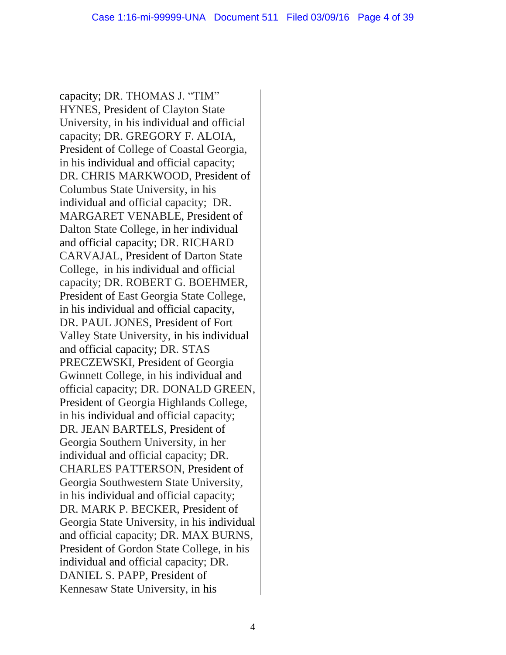capacity; DR. THOMAS J. "TIM" HYNES, President of Clayton State University, in his individual and official capacity; DR. GREGORY F. ALOIA, President of College of Coastal Georgia, in his individual and official capacity; DR. CHRIS MARKWOOD, President of Columbus State University, in his individual and official capacity; DR. MARGARET VENABLE, President of Dalton State College, in her individual and official capacity; DR. RICHARD CARVAJAL, President of Darton State College, in his individual and official capacity; DR. ROBERT G. BOEHMER, President of East Georgia State College, in his individual and official capacity, DR. PAUL JONES, President of Fort Valley State University, in his individual and official capacity; DR. STAS PRECZEWSKI, President of Georgia Gwinnett College, in his individual and official capacity; DR. DONALD GREEN, President of Georgia Highlands College, in his individual and official capacity; DR. JEAN BARTELS, President of Georgia Southern University, in her individual and official capacity; DR. CHARLES PATTERSON, President of Georgia Southwestern State University, in his individual and official capacity; DR. MARK P. BECKER, President of Georgia State University, in his individual and official capacity; DR. MAX BURNS, President of Gordon State College, in his individual and official capacity; DR. DANIEL S. PAPP, President of Kennesaw State University, in his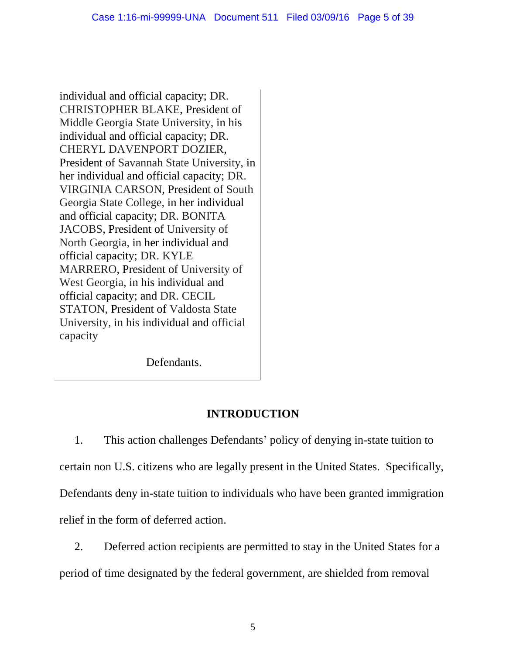individual and official capacity; DR. CHRISTOPHER BLAKE, President of Middle Georgia State University, in his individual and official capacity; DR. CHERYL DAVENPORT DOZIER, President of Savannah State University, in her individual and official capacity; DR. VIRGINIA CARSON, President of South Georgia State College, in her individual and official capacity; DR. BONITA JACOBS, President of University of North Georgia, in her individual and official capacity; DR. KYLE MARRERO, President of University of West Georgia, in his individual and official capacity; and DR. CECIL STATON, President of Valdosta State University, in his individual and official capacity

Defendants.

# **INTRODUCTION**

1. This action challenges Defendants' policy of denying in-state tuition to certain non U.S. citizens who are legally present in the United States. Specifically, Defendants deny in-state tuition to individuals who have been granted immigration relief in the form of deferred action.

2. Deferred action recipients are permitted to stay in the United States for a period of time designated by the federal government, are shielded from removal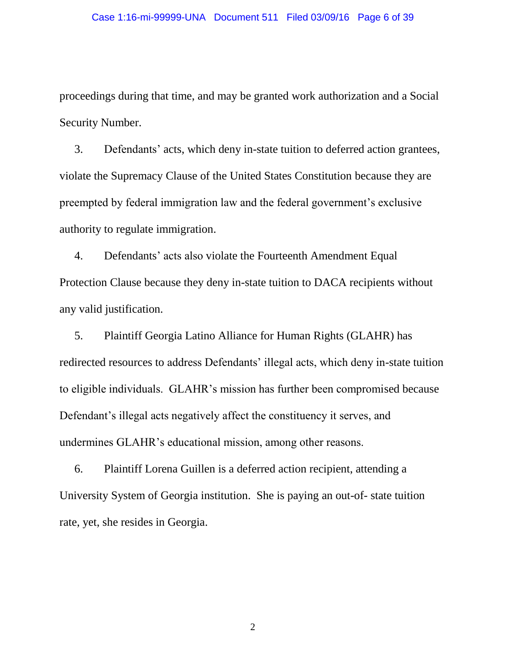proceedings during that time, and may be granted work authorization and a Social Security Number.

3. Defendants' acts, which deny in-state tuition to deferred action grantees, violate the Supremacy Clause of the United States Constitution because they are preempted by federal immigration law and the federal government's exclusive authority to regulate immigration.

4. Defendants' acts also violate the Fourteenth Amendment Equal Protection Clause because they deny in-state tuition to DACA recipients without any valid justification.

5. Plaintiff Georgia Latino Alliance for Human Rights (GLAHR) has redirected resources to address Defendants' illegal acts, which deny in-state tuition to eligible individuals. GLAHR's mission has further been compromised because Defendant's illegal acts negatively affect the constituency it serves, and undermines GLAHR's educational mission, among other reasons.

6. Plaintiff Lorena Guillen is a deferred action recipient, attending a University System of Georgia institution. She is paying an out-of- state tuition rate, yet, she resides in Georgia.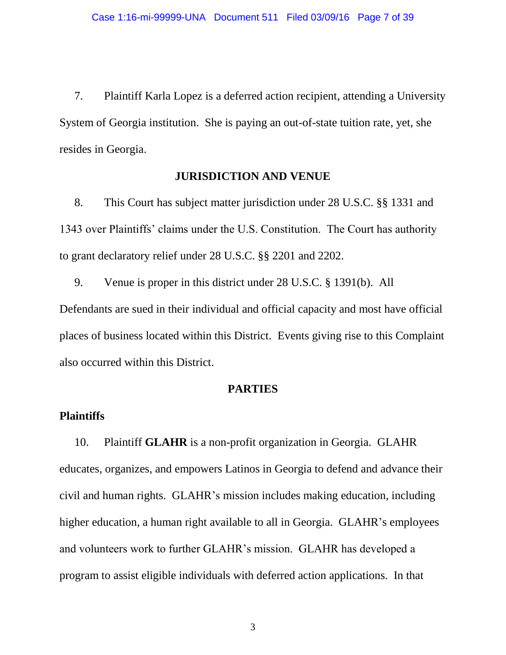7. Plaintiff Karla Lopez is a deferred action recipient, attending a University System of Georgia institution. She is paying an out-of-state tuition rate, yet, she resides in Georgia.

## **JURISDICTION AND VENUE**

8. This Court has subject matter jurisdiction under 28 U.S.C. §§ 1331 and 1343 over Plaintiffs' claims under the U.S. Constitution. The Court has authority to grant declaratory relief under 28 U.S.C. §§ 2201 and 2202.

9. Venue is proper in this district under 28 U.S.C. § 1391(b). All Defendants are sued in their individual and official capacity and most have official places of business located within this District. Events giving rise to this Complaint also occurred within this District.

#### **PARTIES**

#### **Plaintiffs**

10. Plaintiff **GLAHR** is a non-profit organization in Georgia. GLAHR educates, organizes, and empowers Latinos in Georgia to defend and advance their civil and human rights. GLAHR's mission includes making education, including higher education, a human right available to all in Georgia. GLAHR's employees and volunteers work to further GLAHR's mission. GLAHR has developed a program to assist eligible individuals with deferred action applications. In that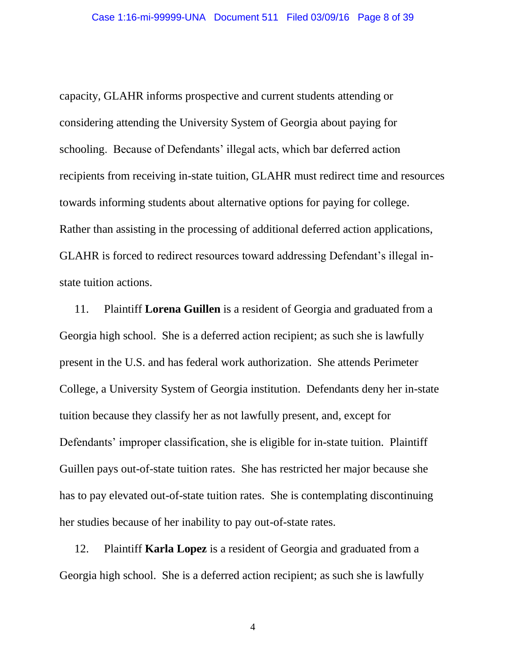capacity, GLAHR informs prospective and current students attending or considering attending the University System of Georgia about paying for schooling. Because of Defendants' illegal acts, which bar deferred action recipients from receiving in-state tuition, GLAHR must redirect time and resources towards informing students about alternative options for paying for college. Rather than assisting in the processing of additional deferred action applications, GLAHR is forced to redirect resources toward addressing Defendant's illegal instate tuition actions.

11. Plaintiff **Lorena Guillen** is a resident of Georgia and graduated from a Georgia high school. She is a deferred action recipient; as such she is lawfully present in the U.S. and has federal work authorization. She attends Perimeter College, a University System of Georgia institution. Defendants deny her in-state tuition because they classify her as not lawfully present, and, except for Defendants' improper classification, she is eligible for in-state tuition. Plaintiff Guillen pays out-of-state tuition rates. She has restricted her major because she has to pay elevated out-of-state tuition rates. She is contemplating discontinuing her studies because of her inability to pay out-of-state rates.

12. Plaintiff **Karla Lopez** is a resident of Georgia and graduated from a Georgia high school. She is a deferred action recipient; as such she is lawfully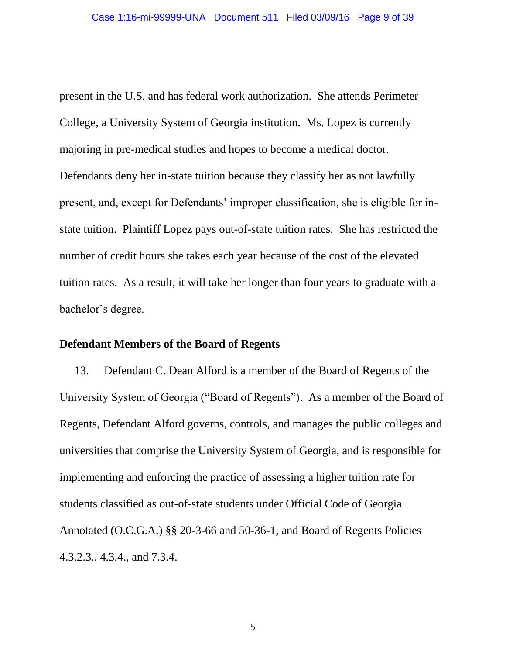present in the U.S. and has federal work authorization. She attends Perimeter College, a University System of Georgia institution. Ms. Lopez is currently majoring in pre-medical studies and hopes to become a medical doctor. Defendants deny her in-state tuition because they classify her as not lawfully present, and, except for Defendants' improper classification, she is eligible for instate tuition. Plaintiff Lopez pays out-of-state tuition rates. She has restricted the number of credit hours she takes each year because of the cost of the elevated tuition rates. As a result, it will take her longer than four years to graduate with a bachelor's degree.

#### **Defendant Members of the Board of Regents**

13. Defendant C. Dean Alford is a member of the Board of Regents of the University System of Georgia ("Board of Regents"). As a member of the Board of Regents, Defendant Alford governs, controls, and manages the public colleges and universities that comprise the University System of Georgia, and is responsible for implementing and enforcing the practice of assessing a higher tuition rate for students classified as out-of-state students under Official Code of Georgia Annotated (O.C.G.A.) §§ 20-3-66 and 50-36-1, and Board of Regents Policies 4.3.2.3., 4.3.4., and 7.3.4.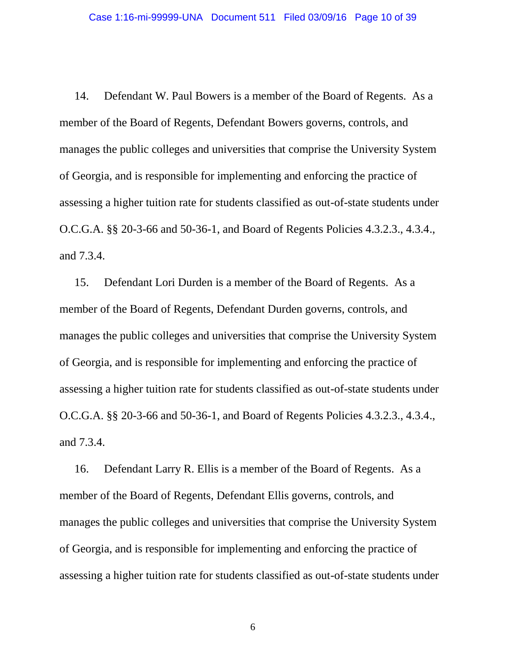14. Defendant W. Paul Bowers is a member of the Board of Regents. As a member of the Board of Regents, Defendant Bowers governs, controls, and manages the public colleges and universities that comprise the University System of Georgia, and is responsible for implementing and enforcing the practice of assessing a higher tuition rate for students classified as out-of-state students under O.C.G.A. §§ 20-3-66 and 50-36-1, and Board of Regents Policies 4.3.2.3., 4.3.4., and 7.3.4.

15. Defendant Lori Durden is a member of the Board of Regents. As a member of the Board of Regents, Defendant Durden governs, controls, and manages the public colleges and universities that comprise the University System of Georgia, and is responsible for implementing and enforcing the practice of assessing a higher tuition rate for students classified as out-of-state students under O.C.G.A. §§ 20-3-66 and 50-36-1, and Board of Regents Policies 4.3.2.3., 4.3.4., and 7.3.4.

16. Defendant Larry R. Ellis is a member of the Board of Regents. As a member of the Board of Regents, Defendant Ellis governs, controls, and manages the public colleges and universities that comprise the University System of Georgia, and is responsible for implementing and enforcing the practice of assessing a higher tuition rate for students classified as out-of-state students under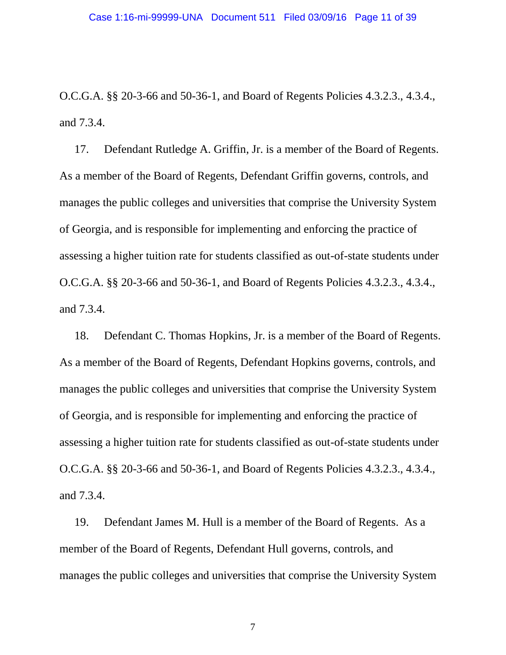O.C.G.A. §§ 20-3-66 and 50-36-1, and Board of Regents Policies 4.3.2.3., 4.3.4., and 7.3.4.

17. Defendant Rutledge A. Griffin, Jr. is a member of the Board of Regents. As a member of the Board of Regents, Defendant Griffin governs, controls, and manages the public colleges and universities that comprise the University System of Georgia, and is responsible for implementing and enforcing the practice of assessing a higher tuition rate for students classified as out-of-state students under O.C.G.A. §§ 20-3-66 and 50-36-1, and Board of Regents Policies 4.3.2.3., 4.3.4., and 7.3.4.

18. Defendant C. Thomas Hopkins, Jr. is a member of the Board of Regents. As a member of the Board of Regents, Defendant Hopkins governs, controls, and manages the public colleges and universities that comprise the University System of Georgia, and is responsible for implementing and enforcing the practice of assessing a higher tuition rate for students classified as out-of-state students under O.C.G.A. §§ 20-3-66 and 50-36-1, and Board of Regents Policies 4.3.2.3., 4.3.4., and 7.3.4.

19. Defendant James M. Hull is a member of the Board of Regents. As a member of the Board of Regents, Defendant Hull governs, controls, and manages the public colleges and universities that comprise the University System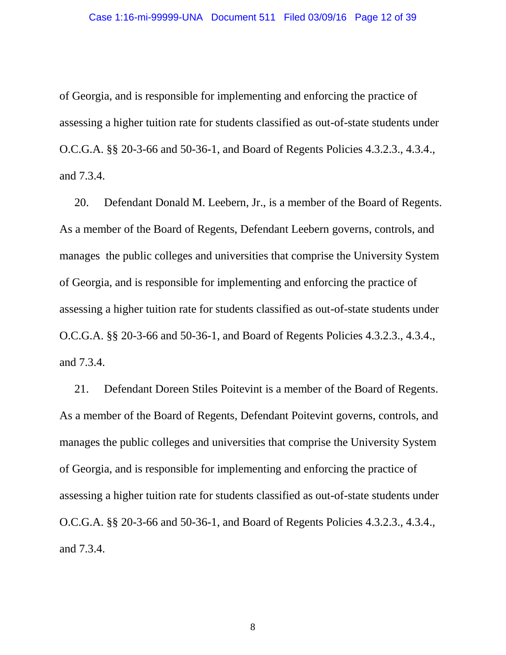of Georgia, and is responsible for implementing and enforcing the practice of assessing a higher tuition rate for students classified as out-of-state students under O.C.G.A. §§ 20-3-66 and 50-36-1, and Board of Regents Policies 4.3.2.3., 4.3.4., and 7.3.4.

20. Defendant Donald M. Leebern, Jr., is a member of the Board of Regents. As a member of the Board of Regents, Defendant Leebern governs, controls, and manages the public colleges and universities that comprise the University System of Georgia, and is responsible for implementing and enforcing the practice of assessing a higher tuition rate for students classified as out-of-state students under O.C.G.A. §§ 20-3-66 and 50-36-1, and Board of Regents Policies 4.3.2.3., 4.3.4., and 7.3.4.

21. Defendant Doreen Stiles Poitevint is a member of the Board of Regents. As a member of the Board of Regents, Defendant Poitevint governs, controls, and manages the public colleges and universities that comprise the University System of Georgia, and is responsible for implementing and enforcing the practice of assessing a higher tuition rate for students classified as out-of-state students under O.C.G.A. §§ 20-3-66 and 50-36-1, and Board of Regents Policies 4.3.2.3., 4.3.4., and 7.3.4.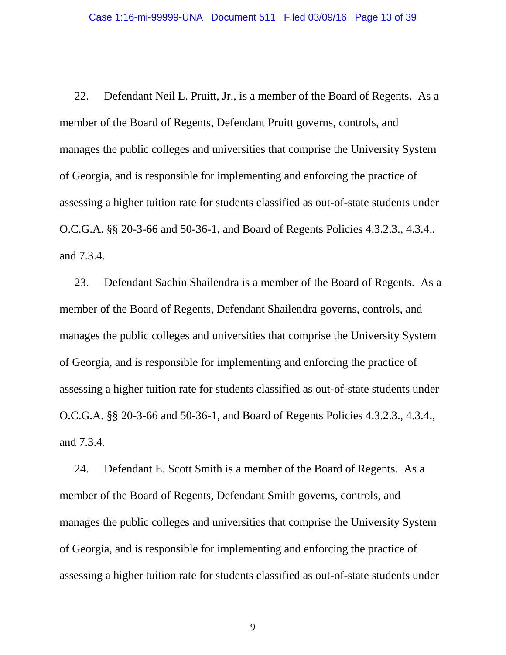22. Defendant Neil L. Pruitt, Jr., is a member of the Board of Regents. As a member of the Board of Regents, Defendant Pruitt governs, controls, and manages the public colleges and universities that comprise the University System of Georgia, and is responsible for implementing and enforcing the practice of assessing a higher tuition rate for students classified as out-of-state students under O.C.G.A. §§ 20-3-66 and 50-36-1, and Board of Regents Policies 4.3.2.3., 4.3.4., and 7.3.4.

23. Defendant Sachin Shailendra is a member of the Board of Regents. As a member of the Board of Regents, Defendant Shailendra governs, controls, and manages the public colleges and universities that comprise the University System of Georgia, and is responsible for implementing and enforcing the practice of assessing a higher tuition rate for students classified as out-of-state students under O.C.G.A. §§ 20-3-66 and 50-36-1, and Board of Regents Policies 4.3.2.3., 4.3.4., and 7.3.4.

24. Defendant E. Scott Smith is a member of the Board of Regents. As a member of the Board of Regents, Defendant Smith governs, controls, and manages the public colleges and universities that comprise the University System of Georgia, and is responsible for implementing and enforcing the practice of assessing a higher tuition rate for students classified as out-of-state students under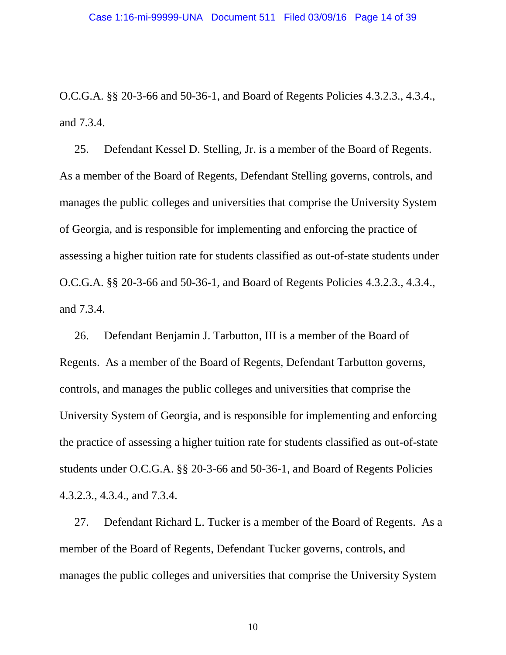O.C.G.A. §§ 20-3-66 and 50-36-1, and Board of Regents Policies 4.3.2.3., 4.3.4., and 7.3.4.

25. Defendant Kessel D. Stelling, Jr. is a member of the Board of Regents. As a member of the Board of Regents, Defendant Stelling governs, controls, and manages the public colleges and universities that comprise the University System of Georgia, and is responsible for implementing and enforcing the practice of assessing a higher tuition rate for students classified as out-of-state students under O.C.G.A. §§ 20-3-66 and 50-36-1, and Board of Regents Policies 4.3.2.3., 4.3.4., and 7.3.4.

26. Defendant Benjamin J. Tarbutton, III is a member of the Board of Regents. As a member of the Board of Regents, Defendant Tarbutton governs, controls, and manages the public colleges and universities that comprise the University System of Georgia, and is responsible for implementing and enforcing the practice of assessing a higher tuition rate for students classified as out-of-state students under O.C.G.A. §§ 20-3-66 and 50-36-1, and Board of Regents Policies 4.3.2.3., 4.3.4., and 7.3.4.

27. Defendant Richard L. Tucker is a member of the Board of Regents. As a member of the Board of Regents, Defendant Tucker governs, controls, and manages the public colleges and universities that comprise the University System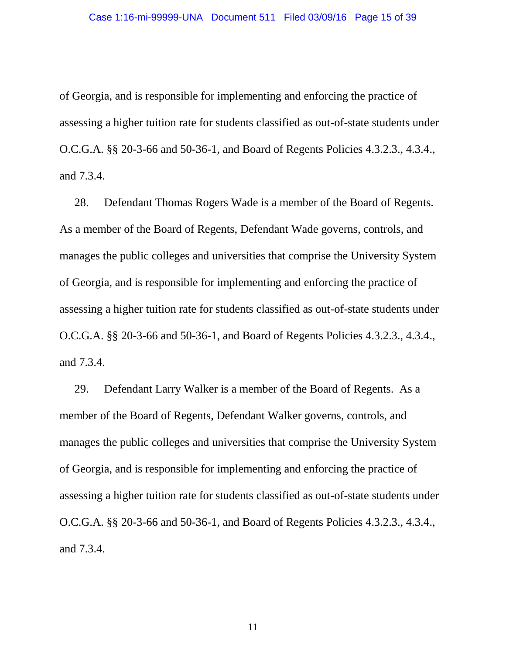of Georgia, and is responsible for implementing and enforcing the practice of assessing a higher tuition rate for students classified as out-of-state students under O.C.G.A. §§ 20-3-66 and 50-36-1, and Board of Regents Policies 4.3.2.3., 4.3.4., and 7.3.4.

28. Defendant Thomas Rogers Wade is a member of the Board of Regents. As a member of the Board of Regents, Defendant Wade governs, controls, and manages the public colleges and universities that comprise the University System of Georgia, and is responsible for implementing and enforcing the practice of assessing a higher tuition rate for students classified as out-of-state students under O.C.G.A. §§ 20-3-66 and 50-36-1, and Board of Regents Policies 4.3.2.3., 4.3.4., and 7.3.4.

29. Defendant Larry Walker is a member of the Board of Regents. As a member of the Board of Regents, Defendant Walker governs, controls, and manages the public colleges and universities that comprise the University System of Georgia, and is responsible for implementing and enforcing the practice of assessing a higher tuition rate for students classified as out-of-state students under O.C.G.A. §§ 20-3-66 and 50-36-1, and Board of Regents Policies 4.3.2.3., 4.3.4., and 7.3.4.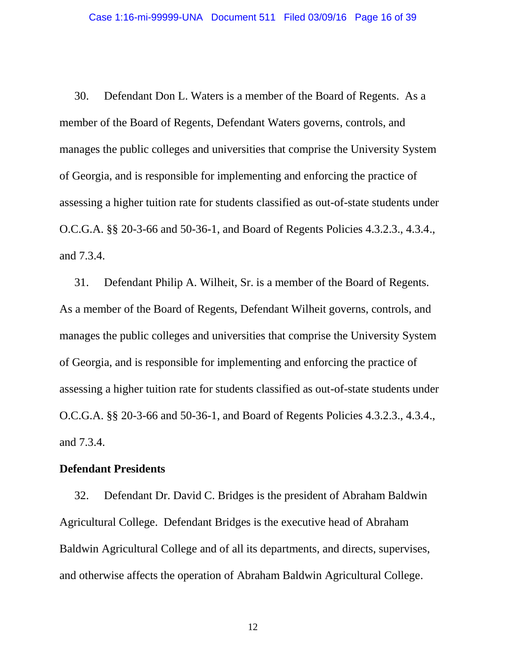30. Defendant Don L. Waters is a member of the Board of Regents. As a member of the Board of Regents, Defendant Waters governs, controls, and manages the public colleges and universities that comprise the University System of Georgia, and is responsible for implementing and enforcing the practice of assessing a higher tuition rate for students classified as out-of-state students under O.C.G.A. §§ 20-3-66 and 50-36-1, and Board of Regents Policies 4.3.2.3., 4.3.4., and 7.3.4.

31. Defendant Philip A. Wilheit, Sr. is a member of the Board of Regents. As a member of the Board of Regents, Defendant Wilheit governs, controls, and manages the public colleges and universities that comprise the University System of Georgia, and is responsible for implementing and enforcing the practice of assessing a higher tuition rate for students classified as out-of-state students under O.C.G.A. §§ 20-3-66 and 50-36-1, and Board of Regents Policies 4.3.2.3., 4.3.4., and 7.3.4.

#### **Defendant Presidents**

32. Defendant Dr. David C. Bridges is the president of Abraham Baldwin Agricultural College. Defendant Bridges is the executive head of Abraham Baldwin Agricultural College and of all its departments, and directs, supervises, and otherwise affects the operation of Abraham Baldwin Agricultural College.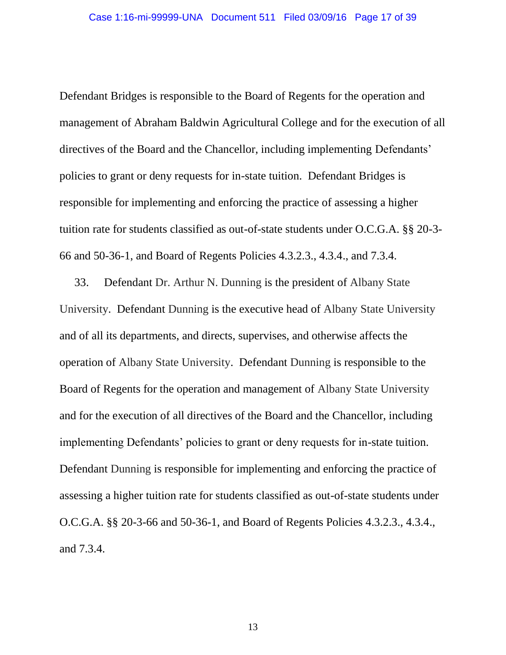Defendant Bridges is responsible to the Board of Regents for the operation and management of Abraham Baldwin Agricultural College and for the execution of all directives of the Board and the Chancellor, including implementing Defendants' policies to grant or deny requests for in-state tuition. Defendant Bridges is responsible for implementing and enforcing the practice of assessing a higher tuition rate for students classified as out-of-state students under O.C.G.A. §§ 20-3- 66 and 50-36-1, and Board of Regents Policies 4.3.2.3., 4.3.4., and 7.3.4.

33. Defendant Dr. Arthur N. Dunning is the president of Albany State University. Defendant Dunning is the executive head of Albany State University and of all its departments, and directs, supervises, and otherwise affects the operation of Albany State University. Defendant Dunning is responsible to the Board of Regents for the operation and management of Albany State University and for the execution of all directives of the Board and the Chancellor, including implementing Defendants' policies to grant or deny requests for in-state tuition. Defendant Dunning is responsible for implementing and enforcing the practice of assessing a higher tuition rate for students classified as out-of-state students under O.C.G.A. §§ 20-3-66 and 50-36-1, and Board of Regents Policies 4.3.2.3., 4.3.4., and 7.3.4.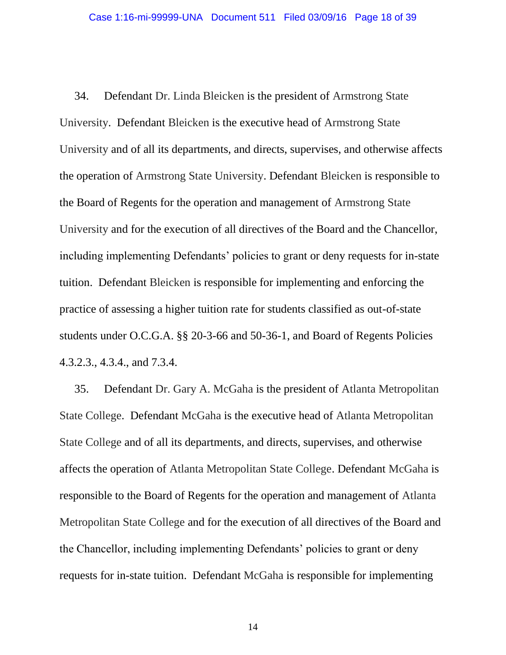34. Defendant Dr. Linda Bleicken is the president of Armstrong State University. Defendant Bleicken is the executive head of Armstrong State University and of all its departments, and directs, supervises, and otherwise affects the operation of Armstrong State University. Defendant Bleicken is responsible to the Board of Regents for the operation and management of Armstrong State University and for the execution of all directives of the Board and the Chancellor, including implementing Defendants' policies to grant or deny requests for in-state tuition. Defendant Bleicken is responsible for implementing and enforcing the practice of assessing a higher tuition rate for students classified as out-of-state students under O.C.G.A. §§ 20-3-66 and 50-36-1, and Board of Regents Policies 4.3.2.3., 4.3.4., and 7.3.4.

35. Defendant Dr. Gary A. McGaha is the president of Atlanta Metropolitan State College. Defendant McGaha is the executive head of Atlanta Metropolitan State College and of all its departments, and directs, supervises, and otherwise affects the operation of Atlanta Metropolitan State College. Defendant McGaha is responsible to the Board of Regents for the operation and management of Atlanta Metropolitan State College and for the execution of all directives of the Board and the Chancellor, including implementing Defendants' policies to grant or deny requests for in-state tuition. Defendant McGaha is responsible for implementing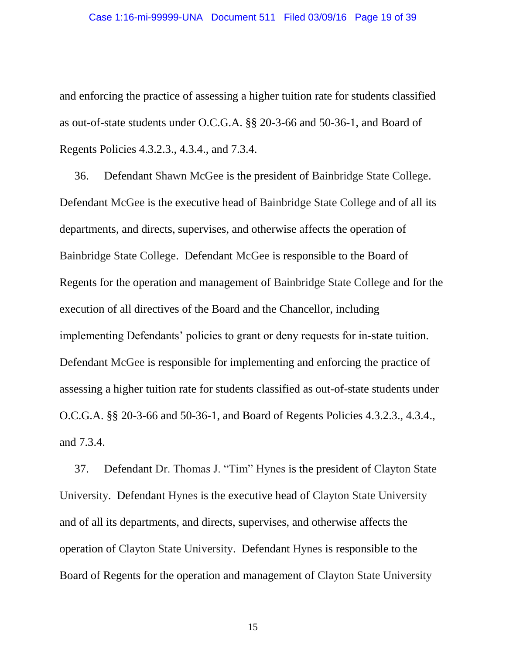and enforcing the practice of assessing a higher tuition rate for students classified as out-of-state students under O.C.G.A. §§ 20-3-66 and 50-36-1, and Board of Regents Policies 4.3.2.3., 4.3.4., and 7.3.4.

36. Defendant Shawn McGee is the president of Bainbridge State College. Defendant McGee is the executive head of Bainbridge State College and of all its departments, and directs, supervises, and otherwise affects the operation of Bainbridge State College. Defendant McGee is responsible to the Board of Regents for the operation and management of Bainbridge State College and for the execution of all directives of the Board and the Chancellor, including implementing Defendants' policies to grant or deny requests for in-state tuition. Defendant McGee is responsible for implementing and enforcing the practice of assessing a higher tuition rate for students classified as out-of-state students under O.C.G.A. §§ 20-3-66 and 50-36-1, and Board of Regents Policies 4.3.2.3., 4.3.4., and 7.3.4.

37. Defendant Dr. Thomas J. "Tim" Hynes is the president of Clayton State University. Defendant Hynes is the executive head of Clayton State University and of all its departments, and directs, supervises, and otherwise affects the operation of Clayton State University. Defendant Hynes is responsible to the Board of Regents for the operation and management of Clayton State University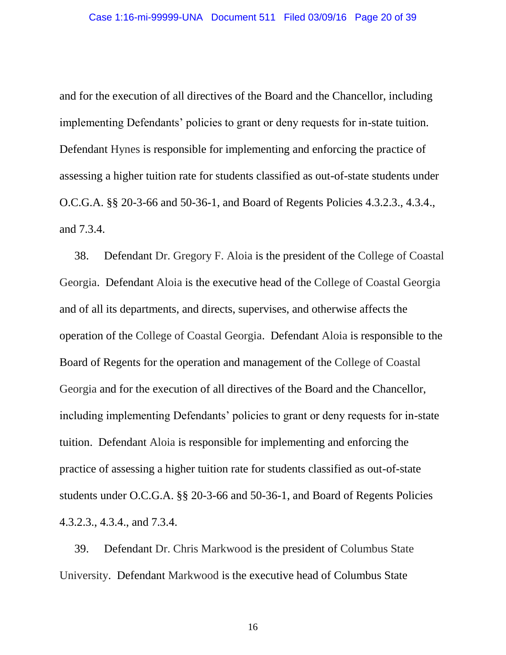and for the execution of all directives of the Board and the Chancellor, including implementing Defendants' policies to grant or deny requests for in-state tuition. Defendant Hynes is responsible for implementing and enforcing the practice of assessing a higher tuition rate for students classified as out-of-state students under O.C.G.A. §§ 20-3-66 and 50-36-1, and Board of Regents Policies 4.3.2.3., 4.3.4., and 7.3.4.

38. Defendant Dr. Gregory F. Aloia is the president of the College of Coastal Georgia. Defendant Aloia is the executive head of the College of Coastal Georgia and of all its departments, and directs, supervises, and otherwise affects the operation of the College of Coastal Georgia. Defendant Aloia is responsible to the Board of Regents for the operation and management of the College of Coastal Georgia and for the execution of all directives of the Board and the Chancellor, including implementing Defendants' policies to grant or deny requests for in-state tuition. Defendant Aloia is responsible for implementing and enforcing the practice of assessing a higher tuition rate for students classified as out-of-state students under O.C.G.A. §§ 20-3-66 and 50-36-1, and Board of Regents Policies 4.3.2.3., 4.3.4., and 7.3.4.

39. Defendant Dr. Chris Markwood is the president of Columbus State University. Defendant Markwood is the executive head of Columbus State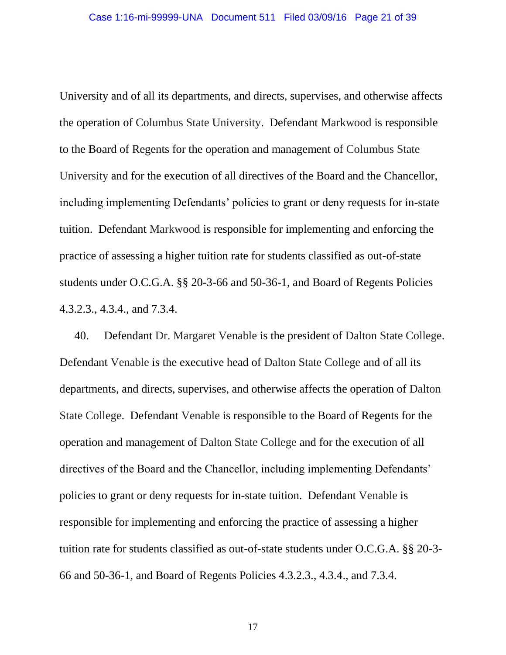University and of all its departments, and directs, supervises, and otherwise affects the operation of Columbus State University. Defendant Markwood is responsible to the Board of Regents for the operation and management of Columbus State University and for the execution of all directives of the Board and the Chancellor, including implementing Defendants' policies to grant or deny requests for in-state tuition. Defendant Markwood is responsible for implementing and enforcing the practice of assessing a higher tuition rate for students classified as out-of-state students under O.C.G.A. §§ 20-3-66 and 50-36-1, and Board of Regents Policies 4.3.2.3., 4.3.4., and 7.3.4.

40. Defendant Dr. Margaret Venable is the president of Dalton State College. Defendant Venable is the executive head of Dalton State College and of all its departments, and directs, supervises, and otherwise affects the operation of Dalton State College. Defendant Venable is responsible to the Board of Regents for the operation and management of Dalton State College and for the execution of all directives of the Board and the Chancellor, including implementing Defendants' policies to grant or deny requests for in-state tuition. Defendant Venable is responsible for implementing and enforcing the practice of assessing a higher tuition rate for students classified as out-of-state students under O.C.G.A. §§ 20-3- 66 and 50-36-1, and Board of Regents Policies 4.3.2.3., 4.3.4., and 7.3.4.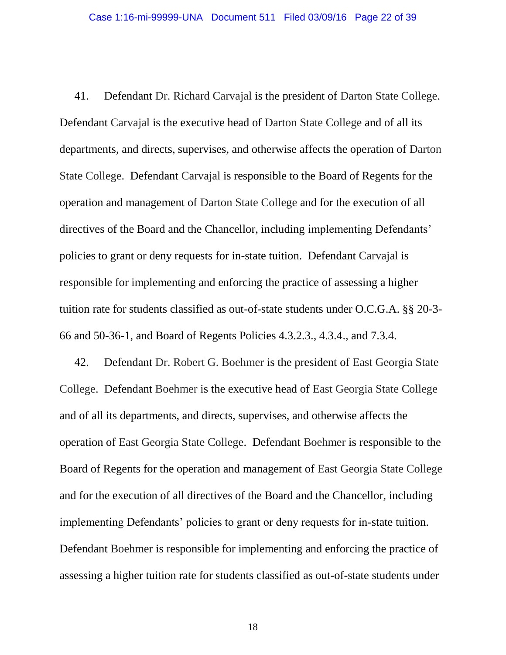41. Defendant Dr. Richard Carvajal is the president of Darton State College. Defendant Carvajal is the executive head of Darton State College and of all its departments, and directs, supervises, and otherwise affects the operation of Darton State College. Defendant Carvajal is responsible to the Board of Regents for the operation and management of Darton State College and for the execution of all directives of the Board and the Chancellor, including implementing Defendants' policies to grant or deny requests for in-state tuition. Defendant Carvajal is responsible for implementing and enforcing the practice of assessing a higher tuition rate for students classified as out-of-state students under O.C.G.A. §§ 20-3- 66 and 50-36-1, and Board of Regents Policies 4.3.2.3., 4.3.4., and 7.3.4.

42. Defendant Dr. Robert G. Boehmer is the president of East Georgia State College. Defendant Boehmer is the executive head of East Georgia State College and of all its departments, and directs, supervises, and otherwise affects the operation of East Georgia State College. Defendant Boehmer is responsible to the Board of Regents for the operation and management of East Georgia State College and for the execution of all directives of the Board and the Chancellor, including implementing Defendants' policies to grant or deny requests for in-state tuition. Defendant Boehmer is responsible for implementing and enforcing the practice of assessing a higher tuition rate for students classified as out-of-state students under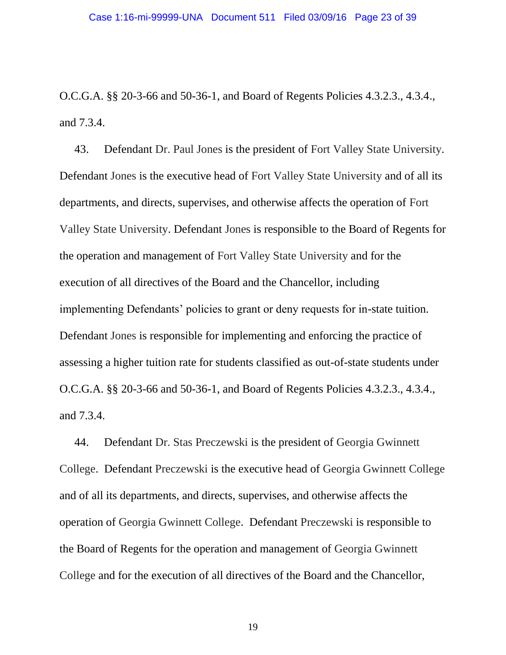O.C.G.A. §§ 20-3-66 and 50-36-1, and Board of Regents Policies 4.3.2.3., 4.3.4., and 7.3.4.

43. Defendant Dr. Paul Jones is the president of Fort Valley State University. Defendant Jones is the executive head of Fort Valley State University and of all its departments, and directs, supervises, and otherwise affects the operation of Fort Valley State University. Defendant Jones is responsible to the Board of Regents for the operation and management of Fort Valley State University and for the execution of all directives of the Board and the Chancellor, including implementing Defendants' policies to grant or deny requests for in-state tuition. Defendant Jones is responsible for implementing and enforcing the practice of assessing a higher tuition rate for students classified as out-of-state students under O.C.G.A. §§ 20-3-66 and 50-36-1, and Board of Regents Policies 4.3.2.3., 4.3.4., and 7.3.4.

44. Defendant Dr. Stas Preczewski is the president of Georgia Gwinnett College. Defendant Preczewski is the executive head of Georgia Gwinnett College and of all its departments, and directs, supervises, and otherwise affects the operation of Georgia Gwinnett College. Defendant Preczewski is responsible to the Board of Regents for the operation and management of Georgia Gwinnett College and for the execution of all directives of the Board and the Chancellor,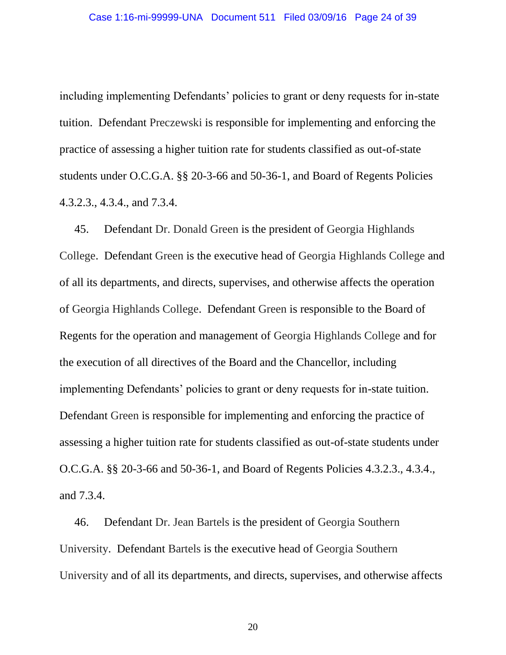including implementing Defendants' policies to grant or deny requests for in-state tuition. Defendant Preczewski is responsible for implementing and enforcing the practice of assessing a higher tuition rate for students classified as out-of-state students under O.C.G.A. §§ 20-3-66 and 50-36-1, and Board of Regents Policies 4.3.2.3., 4.3.4., and 7.3.4.

45. Defendant Dr. Donald Green is the president of Georgia Highlands College. Defendant Green is the executive head of Georgia Highlands College and of all its departments, and directs, supervises, and otherwise affects the operation of Georgia Highlands College. Defendant Green is responsible to the Board of Regents for the operation and management of Georgia Highlands College and for the execution of all directives of the Board and the Chancellor, including implementing Defendants' policies to grant or deny requests for in-state tuition. Defendant Green is responsible for implementing and enforcing the practice of assessing a higher tuition rate for students classified as out-of-state students under O.C.G.A. §§ 20-3-66 and 50-36-1, and Board of Regents Policies 4.3.2.3., 4.3.4., and 7.3.4.

46. Defendant Dr. Jean Bartels is the president of Georgia Southern University. Defendant Bartels is the executive head of Georgia Southern University and of all its departments, and directs, supervises, and otherwise affects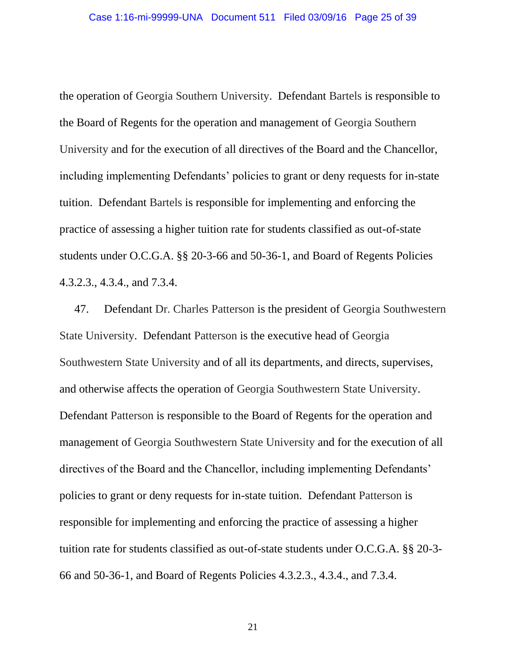the operation of Georgia Southern University. Defendant Bartels is responsible to the Board of Regents for the operation and management of Georgia Southern University and for the execution of all directives of the Board and the Chancellor, including implementing Defendants' policies to grant or deny requests for in-state tuition. Defendant Bartels is responsible for implementing and enforcing the practice of assessing a higher tuition rate for students classified as out-of-state students under O.C.G.A. §§ 20-3-66 and 50-36-1, and Board of Regents Policies 4.3.2.3., 4.3.4., and 7.3.4.

47. Defendant Dr. Charles Patterson is the president of Georgia Southwestern State University. Defendant Patterson is the executive head of Georgia Southwestern State University and of all its departments, and directs, supervises, and otherwise affects the operation of Georgia Southwestern State University. Defendant Patterson is responsible to the Board of Regents for the operation and management of Georgia Southwestern State University and for the execution of all directives of the Board and the Chancellor, including implementing Defendants' policies to grant or deny requests for in-state tuition. Defendant Patterson is responsible for implementing and enforcing the practice of assessing a higher tuition rate for students classified as out-of-state students under O.C.G.A. §§ 20-3- 66 and 50-36-1, and Board of Regents Policies 4.3.2.3., 4.3.4., and 7.3.4.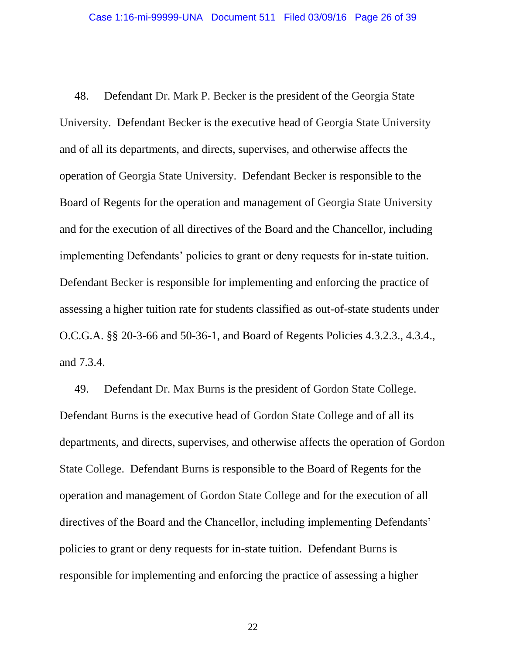48. Defendant Dr. Mark P. Becker is the president of the Georgia State University. Defendant Becker is the executive head of Georgia State University and of all its departments, and directs, supervises, and otherwise affects the operation of Georgia State University. Defendant Becker is responsible to the Board of Regents for the operation and management of Georgia State University and for the execution of all directives of the Board and the Chancellor, including implementing Defendants' policies to grant or deny requests for in-state tuition. Defendant Becker is responsible for implementing and enforcing the practice of assessing a higher tuition rate for students classified as out-of-state students under O.C.G.A. §§ 20-3-66 and 50-36-1, and Board of Regents Policies 4.3.2.3., 4.3.4., and 7.3.4.

49. Defendant Dr. Max Burns is the president of Gordon State College. Defendant Burns is the executive head of Gordon State College and of all its departments, and directs, supervises, and otherwise affects the operation of Gordon State College. Defendant Burns is responsible to the Board of Regents for the operation and management of Gordon State College and for the execution of all directives of the Board and the Chancellor, including implementing Defendants' policies to grant or deny requests for in-state tuition. Defendant Burns is responsible for implementing and enforcing the practice of assessing a higher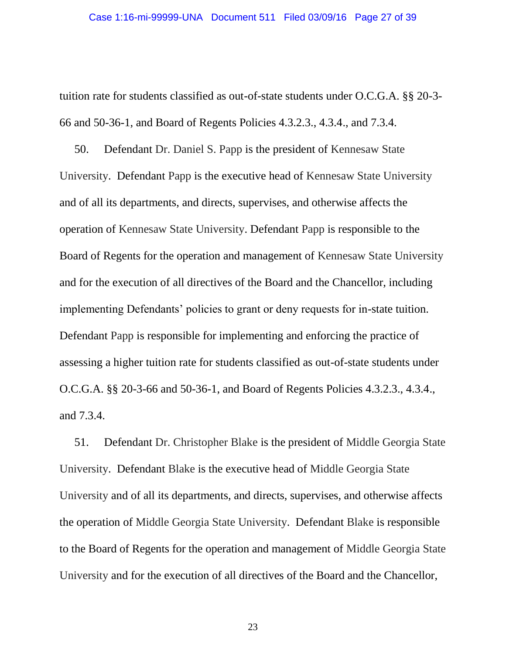tuition rate for students classified as out-of-state students under O.C.G.A. §§ 20-3- 66 and 50-36-1, and Board of Regents Policies 4.3.2.3., 4.3.4., and 7.3.4.

50. Defendant Dr. Daniel S. Papp is the president of Kennesaw State University. Defendant Papp is the executive head of Kennesaw State University and of all its departments, and directs, supervises, and otherwise affects the operation of Kennesaw State University. Defendant Papp is responsible to the Board of Regents for the operation and management of Kennesaw State University and for the execution of all directives of the Board and the Chancellor, including implementing Defendants' policies to grant or deny requests for in-state tuition. Defendant Papp is responsible for implementing and enforcing the practice of assessing a higher tuition rate for students classified as out-of-state students under O.C.G.A. §§ 20-3-66 and 50-36-1, and Board of Regents Policies 4.3.2.3., 4.3.4., and 7.3.4.

51. Defendant Dr. Christopher Blake is the president of Middle Georgia State University. Defendant Blake is the executive head of Middle Georgia State University and of all its departments, and directs, supervises, and otherwise affects the operation of Middle Georgia State University. Defendant Blake is responsible to the Board of Regents for the operation and management of Middle Georgia State University and for the execution of all directives of the Board and the Chancellor,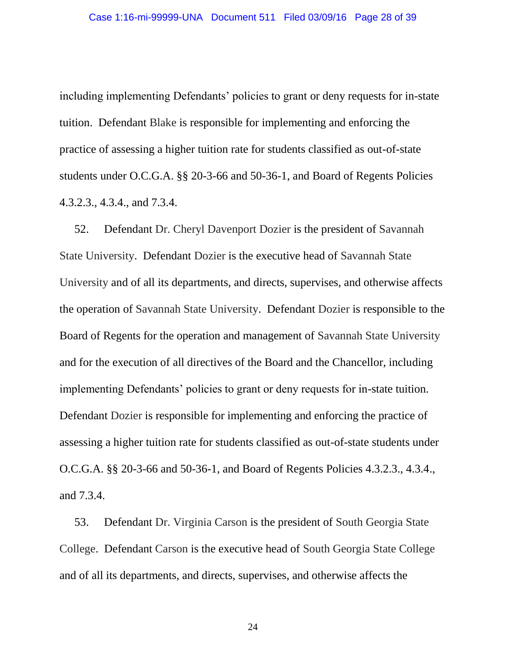including implementing Defendants' policies to grant or deny requests for in-state tuition. Defendant Blake is responsible for implementing and enforcing the practice of assessing a higher tuition rate for students classified as out-of-state students under O.C.G.A. §§ 20-3-66 and 50-36-1, and Board of Regents Policies 4.3.2.3., 4.3.4., and 7.3.4.

52. Defendant Dr. Cheryl Davenport Dozier is the president of Savannah State University. Defendant Dozier is the executive head of Savannah State University and of all its departments, and directs, supervises, and otherwise affects the operation of Savannah State University. Defendant Dozier is responsible to the Board of Regents for the operation and management of Savannah State University and for the execution of all directives of the Board and the Chancellor, including implementing Defendants' policies to grant or deny requests for in-state tuition. Defendant Dozier is responsible for implementing and enforcing the practice of assessing a higher tuition rate for students classified as out-of-state students under O.C.G.A. §§ 20-3-66 and 50-36-1, and Board of Regents Policies 4.3.2.3., 4.3.4., and 7.3.4.

53. Defendant Dr. Virginia Carson is the president of South Georgia State College. Defendant Carson is the executive head of South Georgia State College and of all its departments, and directs, supervises, and otherwise affects the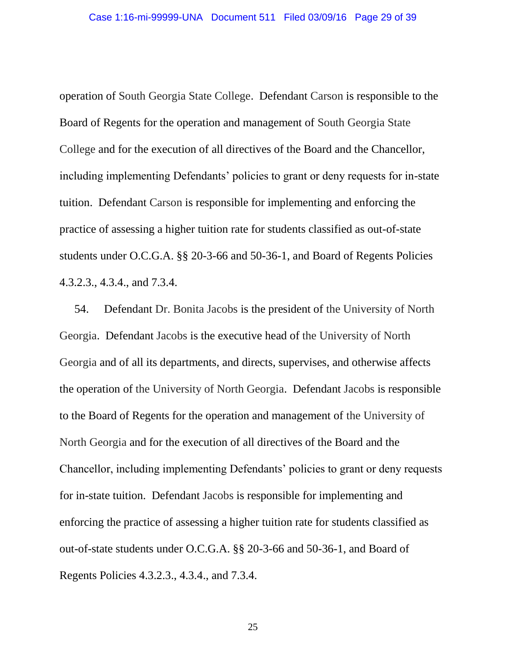operation of South Georgia State College. Defendant Carson is responsible to the Board of Regents for the operation and management of South Georgia State College and for the execution of all directives of the Board and the Chancellor, including implementing Defendants' policies to grant or deny requests for in-state tuition. Defendant Carson is responsible for implementing and enforcing the practice of assessing a higher tuition rate for students classified as out-of-state students under O.C.G.A. §§ 20-3-66 and 50-36-1, and Board of Regents Policies 4.3.2.3., 4.3.4., and 7.3.4.

54. Defendant Dr. Bonita Jacobs is the president of the University of North Georgia. Defendant Jacobs is the executive head of the University of North Georgia and of all its departments, and directs, supervises, and otherwise affects the operation of the University of North Georgia. Defendant Jacobs is responsible to the Board of Regents for the operation and management of the University of North Georgia and for the execution of all directives of the Board and the Chancellor, including implementing Defendants' policies to grant or deny requests for in-state tuition. Defendant Jacobs is responsible for implementing and enforcing the practice of assessing a higher tuition rate for students classified as out-of-state students under O.C.G.A. §§ 20-3-66 and 50-36-1, and Board of Regents Policies 4.3.2.3., 4.3.4., and 7.3.4.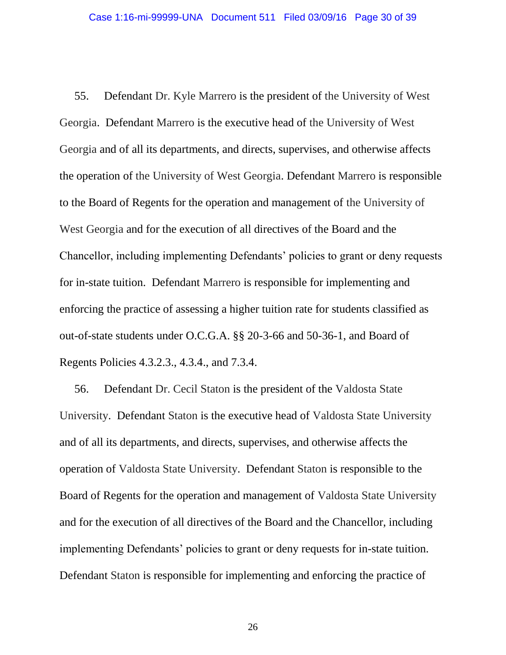55. Defendant Dr. Kyle Marrero is the president of the University of West Georgia. Defendant Marrero is the executive head of the University of West Georgia and of all its departments, and directs, supervises, and otherwise affects the operation of the University of West Georgia. Defendant Marrero is responsible to the Board of Regents for the operation and management of the University of West Georgia and for the execution of all directives of the Board and the Chancellor, including implementing Defendants' policies to grant or deny requests for in-state tuition. Defendant Marrero is responsible for implementing and enforcing the practice of assessing a higher tuition rate for students classified as out-of-state students under O.C.G.A. §§ 20-3-66 and 50-36-1, and Board of Regents Policies 4.3.2.3., 4.3.4., and 7.3.4.

56. Defendant Dr. Cecil Staton is the president of the Valdosta State University. Defendant Staton is the executive head of Valdosta State University and of all its departments, and directs, supervises, and otherwise affects the operation of Valdosta State University. Defendant Staton is responsible to the Board of Regents for the operation and management of Valdosta State University and for the execution of all directives of the Board and the Chancellor, including implementing Defendants' policies to grant or deny requests for in-state tuition. Defendant Staton is responsible for implementing and enforcing the practice of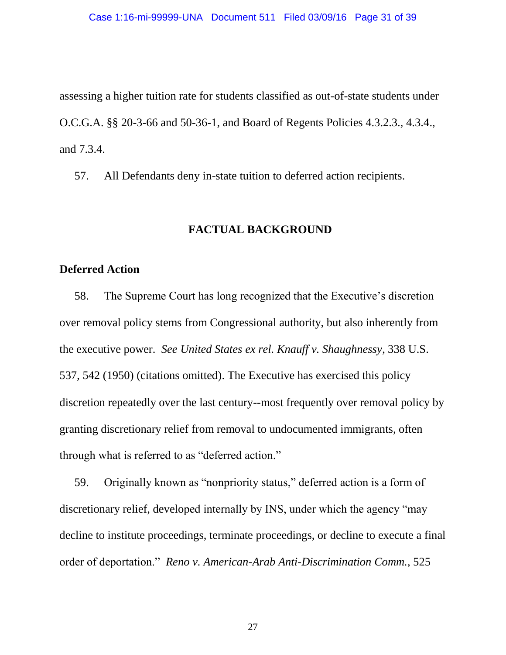assessing a higher tuition rate for students classified as out-of-state students under O.C.G.A. §§ 20-3-66 and 50-36-1, and Board of Regents Policies 4.3.2.3., 4.3.4., and 7.3.4.

57. All Defendants deny in-state tuition to deferred action recipients.

## **FACTUAL BACKGROUND**

## **Deferred Action**

58. The Supreme Court has long recognized that the Executive's discretion over removal policy stems from Congressional authority, but also inherently from the executive power. *See United States ex rel. Knauff v. Shaughnessy*, 338 U.S. 537, 542 (1950) (citations omitted). The Executive has exercised this policy discretion repeatedly over the last century--most frequently over removal policy by granting discretionary relief from removal to undocumented immigrants, often through what is referred to as "deferred action."

59. Originally known as "nonpriority status," deferred action is a form of discretionary relief, developed internally by INS, under which the agency "may decline to institute proceedings, terminate proceedings, or decline to execute a final order of deportation." *Reno v. American-Arab Anti-Discrimination Comm.*, 525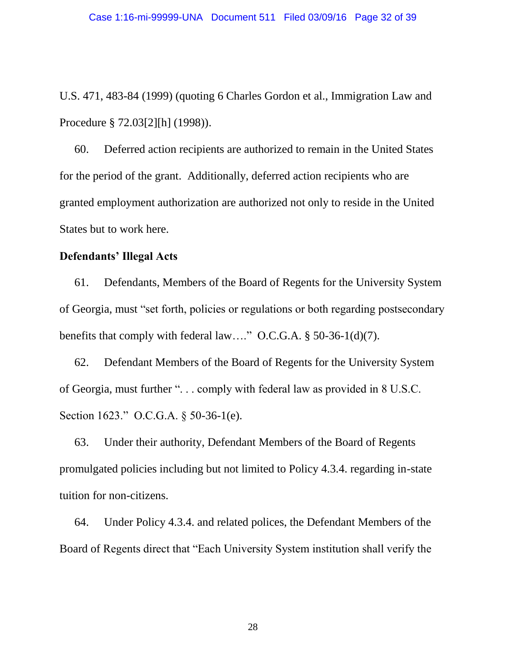U.S. 471, 483-84 (1999) (quoting 6 Charles Gordon et al., Immigration Law and Procedure § 72.03[2][h] (1998)).

60. Deferred action recipients are authorized to remain in the United States for the period of the grant. Additionally, deferred action recipients who are granted employment authorization are authorized not only to reside in the United States but to work here.

## **Defendants' Illegal Acts**

61. Defendants, Members of the Board of Regents for the University System of Georgia, must "set forth, policies or regulations or both regarding postsecondary benefits that comply with federal law…." O.C.G.A. § 50-36-1(d)(7).

62. Defendant Members of the Board of Regents for the University System of Georgia, must further ". . . comply with federal law as provided in 8 U.S.C. Section 1623." O.C.G.A. § 50-36-1(e).

63. Under their authority, Defendant Members of the Board of Regents promulgated policies including but not limited to Policy 4.3.4. regarding in-state tuition for non-citizens.

64. Under Policy 4.3.4. and related polices, the Defendant Members of the Board of Regents direct that "Each University System institution shall verify the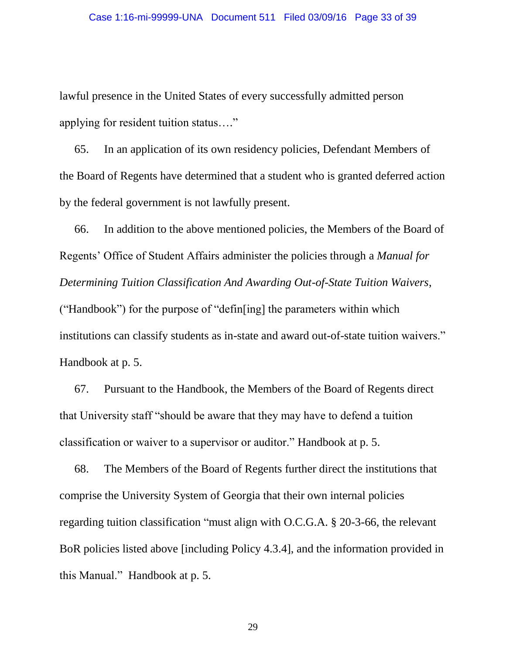lawful presence in the United States of every successfully admitted person applying for resident tuition status…."

65. In an application of its own residency policies, Defendant Members of the Board of Regents have determined that a student who is granted deferred action by the federal government is not lawfully present.

66. In addition to the above mentioned policies, the Members of the Board of Regents' Office of Student Affairs administer the policies through a *Manual for Determining Tuition Classification And Awarding Out-of-State Tuition Waivers*, ("Handbook") for the purpose of "defin[ing] the parameters within which institutions can classify students as in-state and award out-of-state tuition waivers." Handbook at p. 5.

67. Pursuant to the Handbook, the Members of the Board of Regents direct that University staff "should be aware that they may have to defend a tuition classification or waiver to a supervisor or auditor." Handbook at p. 5.

68. The Members of the Board of Regents further direct the institutions that comprise the University System of Georgia that their own internal policies regarding tuition classification "must align with O.C.G.A. § 20-3-66, the relevant BoR policies listed above [including Policy 4.3.4], and the information provided in this Manual." Handbook at p. 5.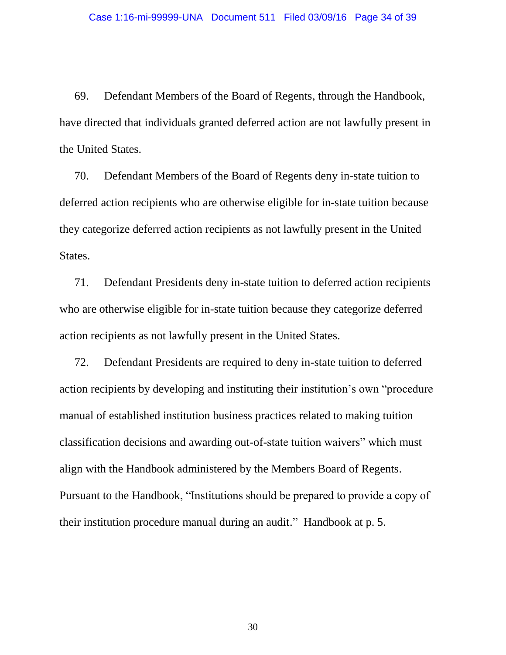69. Defendant Members of the Board of Regents, through the Handbook, have directed that individuals granted deferred action are not lawfully present in the United States.

70. Defendant Members of the Board of Regents deny in-state tuition to deferred action recipients who are otherwise eligible for in-state tuition because they categorize deferred action recipients as not lawfully present in the United States.

71. Defendant Presidents deny in-state tuition to deferred action recipients who are otherwise eligible for in-state tuition because they categorize deferred action recipients as not lawfully present in the United States.

72. Defendant Presidents are required to deny in-state tuition to deferred action recipients by developing and instituting their institution's own "procedure manual of established institution business practices related to making tuition classification decisions and awarding out-of-state tuition waivers" which must align with the Handbook administered by the Members Board of Regents. Pursuant to the Handbook, "Institutions should be prepared to provide a copy of their institution procedure manual during an audit." Handbook at p. 5.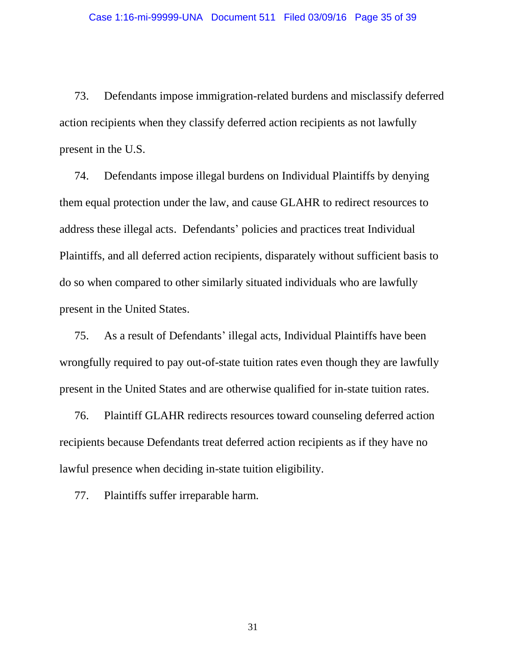73. Defendants impose immigration-related burdens and misclassify deferred action recipients when they classify deferred action recipients as not lawfully present in the U.S.

74. Defendants impose illegal burdens on Individual Plaintiffs by denying them equal protection under the law, and cause GLAHR to redirect resources to address these illegal acts. Defendants' policies and practices treat Individual Plaintiffs, and all deferred action recipients, disparately without sufficient basis to do so when compared to other similarly situated individuals who are lawfully present in the United States.

75. As a result of Defendants' illegal acts, Individual Plaintiffs have been wrongfully required to pay out-of-state tuition rates even though they are lawfully present in the United States and are otherwise qualified for in-state tuition rates.

76. Plaintiff GLAHR redirects resources toward counseling deferred action recipients because Defendants treat deferred action recipients as if they have no lawful presence when deciding in-state tuition eligibility.

77. Plaintiffs suffer irreparable harm.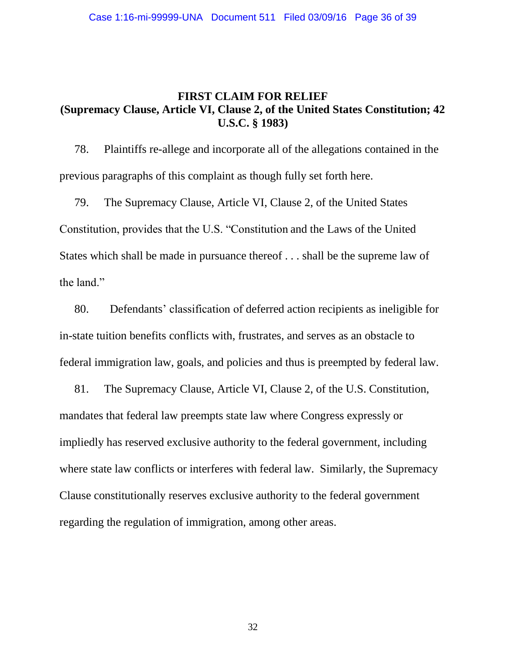## **FIRST CLAIM FOR RELIEF (Supremacy Clause, Article VI, Clause 2, of the United States Constitution; 42 U.S.C. § 1983)**

78. Plaintiffs re-allege and incorporate all of the allegations contained in the previous paragraphs of this complaint as though fully set forth here.

79. The Supremacy Clause, Article VI, Clause 2, of the United States Constitution, provides that the U.S. "Constitution and the Laws of the United States which shall be made in pursuance thereof . . . shall be the supreme law of the land."

80. Defendants' classification of deferred action recipients as ineligible for in-state tuition benefits conflicts with, frustrates, and serves as an obstacle to federal immigration law, goals, and policies and thus is preempted by federal law.

81. The Supremacy Clause, Article VI, Clause 2, of the U.S. Constitution, mandates that federal law preempts state law where Congress expressly or impliedly has reserved exclusive authority to the federal government, including where state law conflicts or interferes with federal law. Similarly, the Supremacy Clause constitutionally reserves exclusive authority to the federal government regarding the regulation of immigration, among other areas.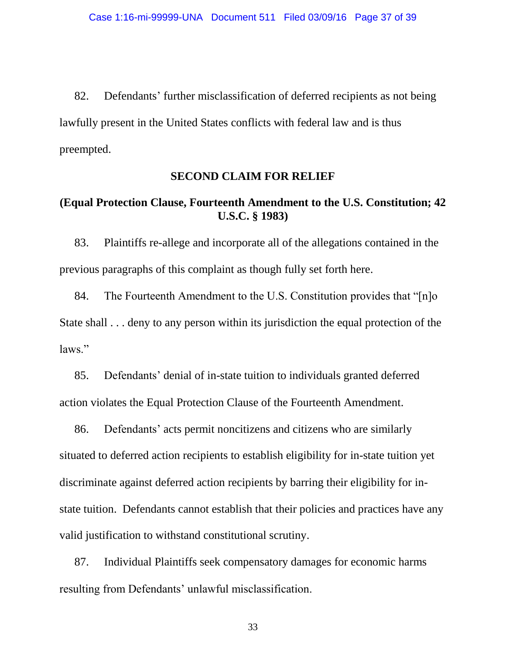82. Defendants' further misclassification of deferred recipients as not being lawfully present in the United States conflicts with federal law and is thus preempted.

#### **SECOND CLAIM FOR RELIEF**

# **(Equal Protection Clause, Fourteenth Amendment to the U.S. Constitution; 42 U.S.C. § 1983)**

83. Plaintiffs re-allege and incorporate all of the allegations contained in the previous paragraphs of this complaint as though fully set forth here.

84. The Fourteenth Amendment to the U.S. Constitution provides that "[n]o State shall . . . deny to any person within its jurisdiction the equal protection of the laws."

85. Defendants' denial of in-state tuition to individuals granted deferred action violates the Equal Protection Clause of the Fourteenth Amendment.

86. Defendants' acts permit noncitizens and citizens who are similarly situated to deferred action recipients to establish eligibility for in-state tuition yet discriminate against deferred action recipients by barring their eligibility for instate tuition. Defendants cannot establish that their policies and practices have any valid justification to withstand constitutional scrutiny.

87. Individual Plaintiffs seek compensatory damages for economic harms resulting from Defendants' unlawful misclassification.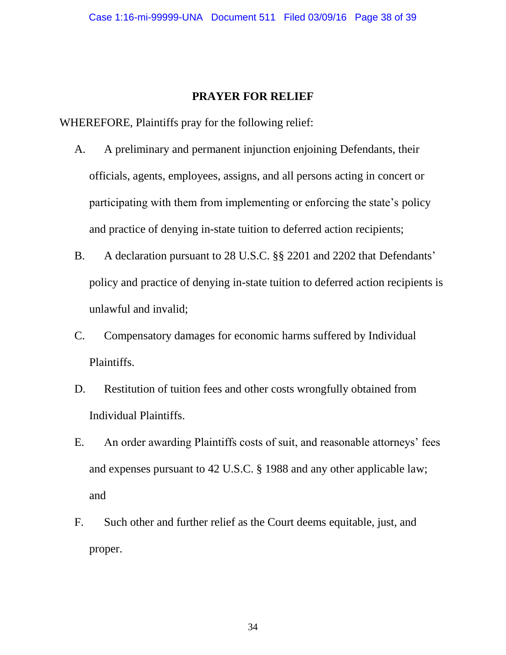## **PRAYER FOR RELIEF**

WHEREFORE, Plaintiffs pray for the following relief:

- A. A preliminary and permanent injunction enjoining Defendants, their officials, agents, employees, assigns, and all persons acting in concert or participating with them from implementing or enforcing the state's policy and practice of denying in-state tuition to deferred action recipients;
- B. A declaration pursuant to 28 U.S.C. §§ 2201 and 2202 that Defendants' policy and practice of denying in-state tuition to deferred action recipients is unlawful and invalid;
- C. Compensatory damages for economic harms suffered by Individual Plaintiffs.
- D. Restitution of tuition fees and other costs wrongfully obtained from Individual Plaintiffs.
- E. An order awarding Plaintiffs costs of suit, and reasonable attorneys' fees and expenses pursuant to 42 U.S.C. § 1988 and any other applicable law; and
- F. Such other and further relief as the Court deems equitable, just, and proper.